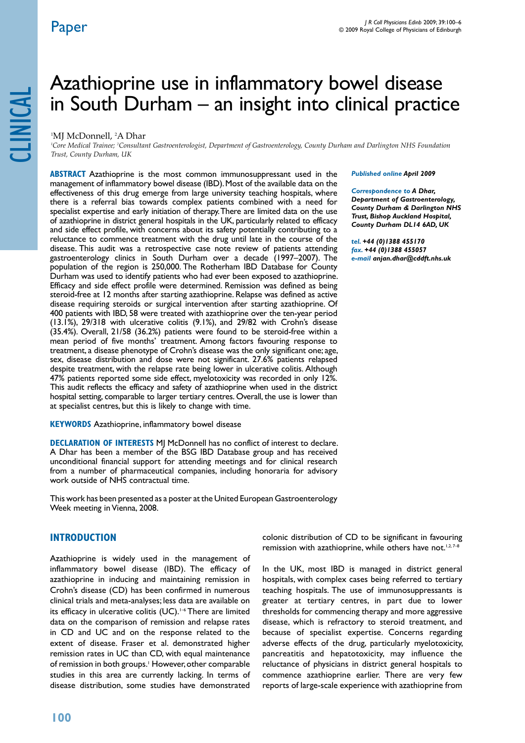clinical

# Azathioprine use in inflammatory bowel disease in South Durham – an insight into clinical practice

#### 1 MJ McDonnell, 2 A Dhar

*1 Core Medical Trainee; 2 Consultant Gastroenterologist, Department of Gastroenterology, County Durham and Darlington NHS Foundation Trust, County Durham, UK*

**ABSTRACT** Azathioprine is the most common immunosuppressant used in the management of inflammatory bowel disease (IBD). Most of the available data on the effectiveness of this drug emerge from large university teaching hospitals, where there is a referral bias towards complex patients combined with a need for specialist expertise and early initiation of therapy. There are limited data on the use of azathioprine in district general hospitals in the UK, particularly related to efficacy and side effect profile, with concerns about its safety potentially contributing to a reluctance to commence treatment with the drug until late in the course of the disease. This audit was a retrospective case note review of patients attending gastroenterology clinics in South Durham over a decade (1997–2007). The population of the region is 250,000. The Rotherham IBD Database for County Durham was used to identify patients who had ever been exposed to azathioprine. Efficacy and side effect profile were determined. Remission was defined as being steroid-free at 12 months after starting azathioprine. Relapse was defined as active disease requiring steroids or surgical intervention after starting azathioprine. Of 400 patients with IBD, 58 were treated with azathioprine over the ten-year period (13.1%), 29/318 with ulcerative colitis (9.1%), and 29/82 with Crohn's disease (35.4%). Overall, 21/58 (36.2%) patients were found to be steroid-free within a mean period of five months' treatment. Among factors favouring response to treatment, a disease phenotype of Crohn's disease was the only significant one; age, sex, disease distribution and dose were not significant. 27.6% patients relapsed despite treatment, with the relapse rate being lower in ulcerative colitis. Although 47% patients reported some side effect, myelotoxicity was recorded in only 12%. This audit reflects the efficacy and safety of azathioprine when used in the district hospital setting, comparable to larger tertiary centres. Overall, the use is lower than at specialist centres, but this is likely to change with time.

**KEYWORDS** Azathioprine, inflammatory bowel disease

**Declaration of Interests** MJ McDonnell has no conflict of interest to declare. A Dhar has been a member of the BSG IBD Database group and has received unconditional financial support for attending meetings and for clinical research from a number of pharmaceutical companies, including honoraria for advisory work outside of NHS contractual time.

This work has been presented as a poster at the United European Gastroenterology Week meeting in Vienna, 2008.

# **Introduction**

Azathioprine is widely used in the management of inflammatory bowel disease (IBD). The efficacy of azathioprine in inducing and maintaining remission in Crohn's disease (CD) has been confirmed in numerous clinical trials and meta-analyses; less data are available on its efficacy in ulcerative colitis (UC).<sup>1-6</sup> There are limited data on the comparison of remission and relapse rates in CD and UC and on the response related to the extent of disease. Fraser et al. demonstrated higher remission rates in UC than CD, with equal maintenance of remission in both groups.<sup>1</sup> However, other comparable studies in this area are currently lacking. In terms of disease distribution, some studies have demonstrated

#### *Published online April 2009*

*Correspondence to A Dhar, Department of Gastroenterology, County Durham & Darlington NHS Trust, Bishop Auckland Hospital, County Durham DL14 6AD, UK*

*tel. +44 (0)1388 455170 fax. +44 (0)1388 455057 e-mail anjan.dhar@cddft.nhs.uk*

colonic distribution of CD to be significant in favouring remission with azathioprine, while others have not.<sup>1,2,7-8</sup>

In the UK, most IBD is managed in district general hospitals, with complex cases being referred to tertiary teaching hospitals. The use of immunosuppressants is greater at tertiary centres, in part due to lower thresholds for commencing therapy and more aggressive disease, which is refractory to steroid treatment, and because of specialist expertise. Concerns regarding adverse effects of the drug, particularly myelotoxicity, pancreatitis and hepatotoxicity, may influence the reluctance of physicians in district general hospitals to commence azathioprine earlier. There are very few reports of large-scale experience with azathioprine from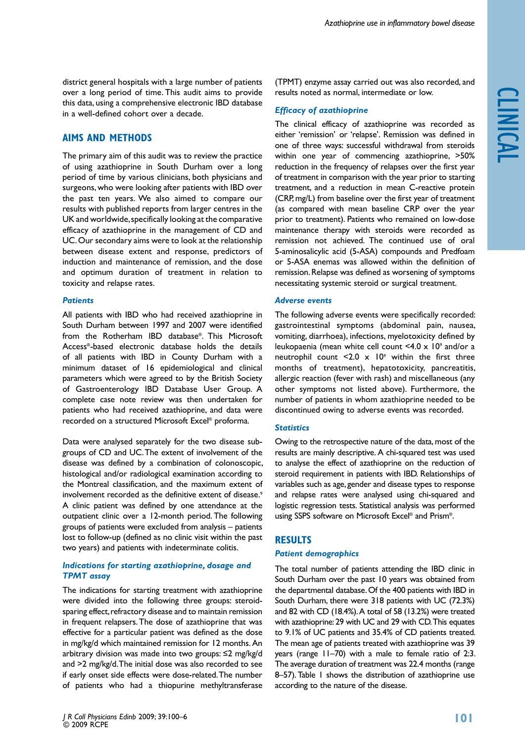district general hospitals with a large number of patients over a long period of time. This audit aims to provide this data, using a comprehensive electronic IBD database in a well-defined cohort over a decade.

# **Aims and Methods**

The primary aim of this audit was to review the practice of using azathioprine in South Durham over a long period of time by various clinicians, both physicians and surgeons, who were looking after patients with IBD over the past ten years. We also aimed to compare our results with published reports from larger centres in the UK and worldwide, specifically looking at the comparative efficacy of azathioprine in the management of CD and UC. Our secondary aims were to look at the relationship between disease extent and response, predictors of induction and maintenance of remission, and the dose and optimum duration of treatment in relation to toxicity and relapse rates.

#### *Patients*

All patients with IBD who had received azathioprine in South Durham between 1997 and 2007 were identified from the Rotherham IBD database®. This Microsoft Access®-based electronic database holds the details of all patients with IBD in County Durham with a minimum dataset of 16 epidemiological and clinical parameters which were agreed to by the British Society of Gastroenterology IBD Database User Group. A complete case note review was then undertaken for patients who had received azathioprine, and data were recorded on a structured Microsoft Excel® proforma.

Data were analysed separately for the two disease subgroups of CD and UC. The extent of involvement of the disease was defined by a combination of colonoscopic, histological and/or radiological examination according to the Montreal classification, and the maximum extent of involvement recorded as the definitive extent of disease.<sup>9</sup> A clinic patient was defined by one attendance at the outpatient clinic over a 12-month period. The following groups of patients were excluded from analysis – patients lost to follow-up (defined as no clinic visit within the past two years) and patients with indeterminate colitis.

# *Indications for starting azathioprine, dosage and TPMT assay*

The indications for starting treatment with azathioprine were divided into the following three groups: steroidsparing effect, refractory disease and to maintain remission in frequent relapsers. The dose of azathioprine that was effective for a particular patient was defined as the dose in mg/kg/d which maintained remission for 12 months. An arbitrary division was made into two groups: ≤2 mg/kg/d and >2 mg/kg/d. The initial dose was also recorded to see if early onset side effects were dose-related. The number of patients who had a thiopurine methyltransferase

(TPMT) enzyme assay carried out was also recorded, and results noted as normal, intermediate or low.

# *Efficacy of azathioprine*

The clinical efficacy of azathioprine was recorded as either 'remission' or 'relapse'. Remission was defined in one of three ways: successful withdrawal from steroids within one year of commencing azathioprine, >50% reduction in the frequency of relapses over the first year of treatment in comparison with the year prior to starting treatment, and a reduction in mean C-reactive protein (CRP, mg/L) from baseline over the first year of treatment (as compared with mean baseline CRP over the year prior to treatment). Patients who remained on low-dose maintenance therapy with steroids were recorded as remission not achieved. The continued use of oral 5-aminosalicylic acid (5-ASA) compounds and Predfoam or 5-ASA enemas was allowed within the definition of remission. Relapse was defined as worsening of symptoms necessitating systemic steroid or surgical treatment.

#### *Adverse events*

The following adverse events were specifically recorded: gastrointestinal symptoms (abdominal pain, nausea, vomiting, diarrhoea), infections, myelotoxicity defined by leukopaenia (mean white cell count  $\leq 4.0 \times 10^9$  and/or a neutrophil count  $\leq 2.0 \times 10^9$  within the first three months of treatment), hepatotoxicity, pancreatitis, allergic reaction (fever with rash) and miscellaneous (any other symptoms not listed above). Furthermore, the number of patients in whom azathioprine needed to be discontinued owing to adverse events was recorded.

# *Statistics*

Owing to the retrospective nature of the data, most of the results are mainly descriptive. A chi-squared test was used to analyse the effect of azathioprine on the reduction of steroid requirement in patients with IBD. Relationships of variables such as age, gender and disease types to response and relapse rates were analysed using chi-squared and logistic regression tests. Statistical analysis was performed using SSPS software on Microsoft Excel® and Prism®.

# **Results**

# *Patient demographics*

The total number of patients attending the IBD clinic in South Durham over the past 10 years was obtained from the departmental database. Of the 400 patients with IBD in South Durham, there were 318 patients with UC (72.3%) and 82 with CD (18.4%). A total of 58 (13.2%) were treated with azathioprine: 29 with UC and 29 with CD. This equates to 9.1% of UC patients and 35.4% of CD patients treated. The mean age of patients treated with azathioprine was 39 years (range 11–70) with a male to female ratio of 2:3. The average duration of treatment was 22.4 months (range 8–57). Table 1 shows the distribution of azathioprine use according to the nature of the disease.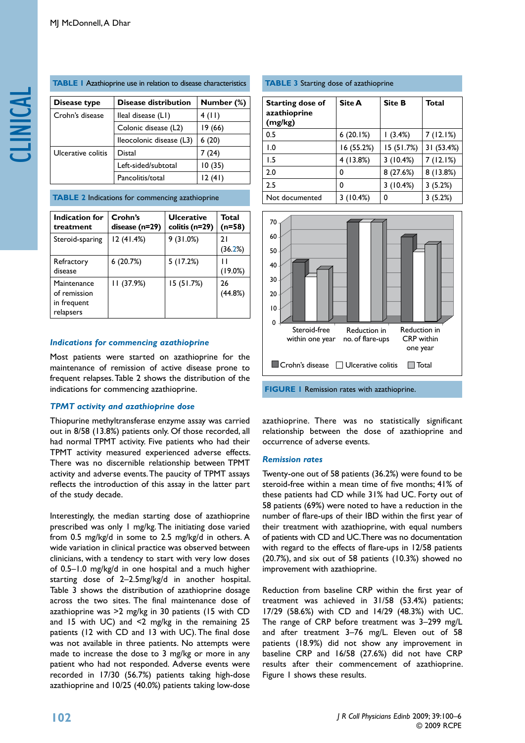**table 1** Azathioprine use in relation to disease characteristics

| Disease type       | <b>Disease distribution</b> | Number (%) |
|--------------------|-----------------------------|------------|
| Crohn's disease    | lleal disease (LI)          | 4(11)      |
|                    | Colonic disease (L2)        | 19 (66)    |
|                    | lleocolonic disease (L3)    | 6(20)      |
| Ulcerative colitis | Distal                      | 7 (24)     |
|                    | Left-sided/subtotal         | 10(35)     |
|                    | Pancolitis/total            | 12(41)     |

**TABLE 2** Indications for commencing azathioprine

| Indication for<br>treatment                             | Crohn's<br>disease (n=29) | <b>Ulcerative</b><br>colitis (n=29) | <b>Total</b><br>$(n=58)$ |
|---------------------------------------------------------|---------------------------|-------------------------------------|--------------------------|
| Steroid-sparing                                         | 12 (41.4%)                | 9(31.0%)                            | 21<br>(36.2%)            |
| Refractory<br>disease                                   | 6(20.7%)                  | 5(17.2%)                            | (19.0%)                  |
| Maintenance<br>of remission<br>in frequent<br>relapsers | 11(37.9%)                 | 15 (51.7%)                          | 26<br>(44.8%)            |

#### *Indications for commencing azathioprine*

Most patients were started on azathioprine for the maintenance of remission of active disease prone to frequent relapses. Table 2 shows the distribution of the indications for commencing azathioprine.

#### *TPMT activity and azathioprine dose*

Thiopurine methyltransferase enzyme assay was carried out in 8/58 (13.8%) patients only. Of those recorded, all had normal TPMT activity. Five patients who had their TPMT activity measured experienced adverse effects. There was no discernible relationship between TPMT activity and adverse events. The paucity of TPMT assays reflects the introduction of this assay in the latter part of the study decade.

Interestingly, the median starting dose of azathioprine prescribed was only 1 mg/kg. The initiating dose varied from 0.5 mg/kg/d in some to 2.5 mg/kg/d in others. A wide variation in clinical practice was observed between clinicians, with a tendency to start with very low doses of 0.5–1.0 mg/kg/d in one hospital and a much higher starting dose of 2–2.5mg/kg/d in another hospital. Table 3 shows the distribution of azathioprine dosage across the two sites. The final maintenance dose of azathioprine was >2 mg/kg in 30 patients (15 with CD and 15 with UC) and <2 mg/kg in the remaining 25 patients (12 with CD and 13 with UC). The final dose was not available in three patients. No attempts were made to increase the dose to 3 mg/kg or more in any patient who had not responded. Adverse events were recorded in 17/30 (56.7%) patients taking high-dose azathioprine and 10/25 (40.0%) patients taking low-dose

#### **TABLE 3** Starting dose of azathioprine

| <b>Starting dose of</b><br>azathioprine<br>(mg/kg) | Site A     | <b>Site B</b> | <b>Total</b> |
|----------------------------------------------------|------------|---------------|--------------|
| 0.5                                                | 6(20.1%)   | (3.4%)        | 7(12.1%)     |
| 0. ا                                               | 16 (55.2%) | 15(51.7%)     | 31 (53.4%)   |
| 1.5                                                | 4 (13.8%)  | 3(10.4%)      | 7(12.1%)     |
| 2.0                                                | 0          | 8(27.6%)      | 8 (13.8%)    |
| 2.5                                                | 0          | 3(10.4%)      | 3(5.2%)      |
| Not documented                                     | 3(10.4%)   | 0             | 3(5.2%)      |



azathioprine. There was no statistically significant relationship between the dose of azathioprine and occurrence of adverse events.

#### *Remission rates*

Twenty-one out of 58 patients (36.2%) were found to be steroid-free within a mean time of five months; 41% of these patients had CD while 31% had UC. Forty out of 58 patients (69%) were noted to have a reduction in the number of flare-ups of their IBD within the first year of their treatment with azathioprine, with equal numbers of patients with CD and UC. There was no documentation with regard to the effects of flare-ups in 12/58 patients (20.7%), and six out of 58 patients (10.3%) showed no improvement with azathioprine.

Reduction from baseline CRP within the first year of treatment was achieved in 31/58 (53.4%) patients; 17/29 (58.6%) with CD and 14/29 (48.3%) with UC. The range of CRP before treatment was 3–299 mg/L and after treatment 3–76 mg/L. Eleven out of 58 patients (18.9%) did not show any improvement in baseline CRP and 16/58 (27.6%) did not have CRP results after their commencement of azathioprine. Figure 1 shows these results.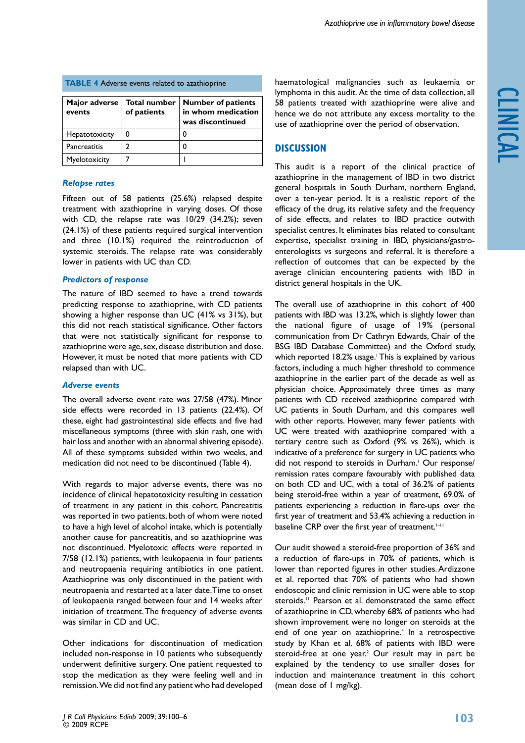| <b>The reference is classed to azatmopting</b> |                                    |                                                                     |  |  |
|------------------------------------------------|------------------------------------|---------------------------------------------------------------------|--|--|
| Major adverse<br>events                        | <b>Total number</b><br>of patients | <b>Number of patients</b><br>in whom medication<br>was discontinued |  |  |
| Hepatotoxicity                                 |                                    |                                                                     |  |  |
| Pancreatitis                                   |                                    |                                                                     |  |  |
| Myelotoxicity                                  |                                    |                                                                     |  |  |

# **TABLE 4** Adverse events related to azathioprine

# *Relapse rates*

Fifteen out of 58 patients (25.6%) relapsed despite treatment with azathioprine in varying doses. Of those with CD, the relapse rate was 10/29 (34.2%); seven (24.1%) of these patients required surgical intervention and three (10.1%) required the reintroduction of systemic steroids. The relapse rate was considerably lower in patients with UC than CD.

# *Predictors of response*

The nature of IBD seemed to have a trend towards predicting response to azathioprine, with CD patients showing a higher response than UC (41% vs 31%), but this did not reach statistical significance. Other factors that were not statistically significant for response to azathioprine were age, sex, disease distribution and dose. However, it must be noted that more patients with CD relapsed than with UC.

# *Adverse events*

The overall adverse event rate was 27/58 (47%). Minor side effects were recorded in 13 patients (22.4%). Of these, eight had gastrointestinal side effects and five had miscellaneous symptoms (three with skin rash, one with hair loss and another with an abnormal shivering episode). All of these symptoms subsided within two weeks, and medication did not need to be discontinued (Table 4).

With regards to major adverse events, there was no incidence of clinical hepatotoxicity resulting in cessation of treatment in any patient in this cohort. Pancreatitis was reported in two patients, both of whom were noted to have a high level of alcohol intake, which is potentially another cause for pancreatitis, and so azathioprine was not discontinued. Myelotoxic effects were reported in 7/58 (12.1%) patients, with leukopaenia in four patients and neutropaenia requiring antibiotics in one patient. Azathioprine was only discontinued in the patient with neutropaenia and restarted at a later date. Time to onset of leukopaenia ranged between four and 14 weeks after initiation of treatment. The frequency of adverse events was similar in CD and UC.

Other indications for discontinuation of medication included non-response in 10 patients who subsequently underwent definitive surgery. One patient requested to stop the medication as they were feeling well and in remission. We did not find any patient who had developed haematological malignancies such as leukaemia or lymphoma in this audit. At the time of data collection, all 58 patients treated with azathioprine were alive and hence we do not attribute any excess mortality to the use of azathioprine over the period of observation.

# **Discussion**

This audit is a report of the clinical practice of azathioprine in the management of IBD in two district general hospitals in South Durham, northern England, over a ten-year period. It is a realistic report of the efficacy of the drug, its relative safety and the frequency of side effects, and relates to IBD practice outwith specialist centres. It eliminates bias related to consultant expertise, specialist training in IBD, physicians/gastroenterologists vs surgeons and referral. It is therefore a reflection of outcomes that can be expected by the average clinician encountering patients with IBD in district general hospitals in the UK.

The overall use of azathioprine in this cohort of 400 patients with IBD was 13.2%, which is slightly lower than the national figure of usage of 19% (personal communication from Dr Cathryn Edwards, Chair of the BSG IBD Database Committee) and the Oxford study, which reported 18.2% usage. This is explained by various factors, including a much higher threshold to commence azathioprine in the earlier part of the decade as well as physician choice. Approximately three times as many patients with CD received azathioprine compared with UC patients in South Durham, and this compares well with other reports. However, many fewer patients with UC were treated with azathioprine compared with a tertiary centre such as Oxford (9% vs 26%), which is indicative of a preference for surgery in UC patients who did not respond to steroids in Durham.<sup>1</sup> Our response/ remission rates compare favourably with published data on both CD and UC, with a total of 36.2% of patients being steroid-free within a year of treatment, 69.0% of patients experiencing a reduction in flare-ups over the first year of treatment and 53.4% achieving a reduction in baseline CRP over the first year of treatment.<sup>1-11</sup>

Our audit showed a steroid-free proportion of 36% and a reduction of flare-ups in 70% of patients, which is lower than reported figures in other studies. Ardizzone et al. reported that 70% of patients who had shown endoscopic and clinic remission in UC were able to stop steroids.<sup>11</sup> Pearson et al. demonstrated the same effect of azathioprine in CD, whereby 68% of patients who had shown improvement were no longer on steroids at the end of one year on azathioprine.<sup>4</sup> In a retrospective study by Khan et al. 68% of patients with IBD were steroid-free at one year.<sup>2</sup> Our result may in part be explained by the tendency to use smaller doses for induction and maintenance treatment in this cohort (mean dose of 1 mg/kg).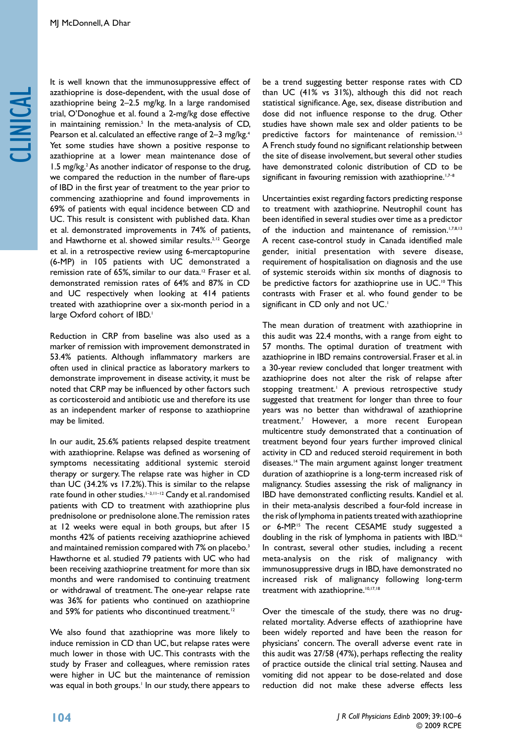# clinical

It is well known that the immunosuppressive effect of azathioprine is dose-dependent, with the usual dose of azathioprine being 2–2.5 mg/kg. In a large randomised trial, O'Donoghue et al. found a 2-mg/kg dose effective in maintaining remission.5 In the meta-analysis of CD, Pearson et al. calculated an effective range of 2–3 mg/kg.<sup>4</sup> Yet some studies have shown a positive response to azathioprine at a lower mean maintenance dose of 1.5 mg/kg.<sup>2</sup> As another indicator of response to the drug, we compared the reduction in the number of flare-ups of IBD in the first year of treatment to the year prior to commencing azathioprine and found improvements in 69% of patients with equal incidence between CD and UC. This result is consistent with published data. Khan et al. demonstrated improvements in 74% of patients, and Hawthorne et al. showed similar results.<sup>2,12</sup> George et al. in a retrospective review using 6-mercaptopurine (6-MP) in 105 patients with UC demonstrated a remission rate of 65%, similar to our data.12 Fraser et al. demonstrated remission rates of 64% and 87% in CD and UC respectively when looking at 414 patients treated with azathioprine over a six-month period in a large Oxford cohort of IBD.<sup>1</sup>

Reduction in CRP from baseline was also used as a marker of remission with improvement demonstrated in 53.4% patients. Although inflammatory markers are often used in clinical practice as laboratory markers to demonstrate improvement in disease activity, it must be noted that CRP may be influenced by other factors such as corticosteroid and antibiotic use and therefore its use as an independent marker of response to azathioprine may be limited.

In our audit, 25.6% patients relapsed despite treatment with azathioprine. Relapse was defined as worsening of symptoms necessitating additional systemic steroid therapy or surgery. The relapse rate was higher in CD than UC (34.2% vs 17.2%). This is similar to the relapse rate found in other studies.<sup>1-3,11-12</sup> Candy et al. randomised patients with CD to treatment with azathioprine plus prednisolone or prednisolone alone. The remission rates at 12 weeks were equal in both groups, but after 15 months 42% of patients receiving azathioprine achieved and maintained remission compared with 7% on placebo.<sup>3</sup> Hawthorne et al. studied 79 patients with UC who had been receiving azathioprine treatment for more than six months and were randomised to continuing treatment or withdrawal of treatment. The one-year relapse rate was 36% for patients who continued on azathioprine and 59% for patients who discontinued treatment.<sup>12</sup>

We also found that azathioprine was more likely to induce remission in CD than UC, but relapse rates were much lower in those with UC. This contrasts with the study by Fraser and colleagues, where remission rates were higher in UC but the maintenance of remission was equal in both groups.<sup>1</sup> In our study, there appears to be a trend suggesting better response rates with CD than UC (41% vs 31%), although this did not reach statistical significance. Age, sex, disease distribution and dose did not influence response to the drug. Other studies have shown male sex and older patients to be predictive factors for maintenance of remission.<sup>1,5</sup> A French study found no significant relationship between the site of disease involvement, but several other studies have demonstrated colonic distribution of CD to be significant in favouring remission with azathioprine.<sup>1,7-8</sup>

Uncertainties exist regarding factors predicting response to treatment with azathioprine. Neutrophil count has been identified in several studies over time as a predictor of the induction and maintenance of remission.<sup>1,7,8,13</sup> A recent case-control study in Canada identified male gender, initial presentation with severe disease, requirement of hospitalisation on diagnosis and the use of systemic steroids within six months of diagnosis to be predictive factors for azathioprine use in UC.<sup>10</sup> This contrasts with Fraser et al. who found gender to be significant in CD only and not UC.<sup>1</sup>

The mean duration of treatment with azathioprine in this audit was 22.4 months, with a range from eight to 57 months. The optimal duration of treatment with azathioprine in IBD remains controversial. Fraser et al. in a 30-year review concluded that longer treatment with azathioprine does not alter the risk of relapse after stopping treatment.<sup>1</sup> A previous retrospective study suggested that treatment for longer than three to four years was no better than withdrawal of azathioprine treatment.7 However, a more recent European multicentre study demonstrated that a continuation of treatment beyond four years further improved clinical activity in CD and reduced steroid requirement in both diseases.14 The main argument against longer treatment duration of azathioprine is a long-term increased risk of malignancy. Studies assessing the risk of malignancy in IBD have demonstrated conflicting results. Kandiel et al. in their meta-analysis described a four-fold increase in the risk of lymphoma in patients treated with azathioprine or 6-MP.<sup>15</sup> The recent CESAME study suggested a doubling in the risk of lymphoma in patients with IBD.16 In contrast, several other studies, including a recent meta-analysis on the risk of malignancy with immunosuppressive drugs in IBD, have demonstrated no increased risk of malignancy following long-term treatment with azathioprine.<sup>10,17,18</sup>

Over the timescale of the study, there was no drugrelated mortality. Adverse effects of azathioprine have been widely reported and have been the reason for physicians' concern. The overall adverse event rate in this audit was 27/58 (47%), perhaps reflecting the reality of practice outside the clinical trial setting. Nausea and vomiting did not appear to be dose-related and dose reduction did not make these adverse effects less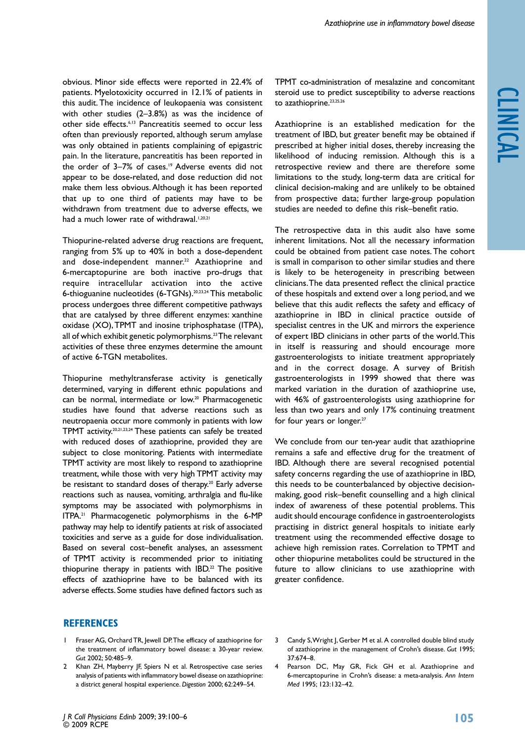obvious. Minor side effects were reported in 22.4% of patients. Myelotoxicity occurred in 12.1% of patients in this audit. The incidence of leukopaenia was consistent with other studies (2–3.8%) as was the incidence of other side effects.6,13 Pancreatitis seemed to occur less often than previously reported, although serum amylase was only obtained in patients complaining of epigastric pain. In the literature, pancreatitis has been reported in the order of 3-7% of cases.<sup>19</sup> Adverse events did not appear to be dose-related, and dose reduction did not make them less obvious. Although it has been reported that up to one third of patients may have to be withdrawn from treatment due to adverse effects, we had a much lower rate of withdrawal.<sup>1,20,21</sup>

Thiopurine-related adverse drug reactions are frequent, ranging from 5% up to 40% in both a dose-dependent and dose-independent manner.<sup>22</sup> Azathioprine and 6-mercaptopurine are both inactive pro-drugs that require intracellular activation into the active 6-thioguanine nucleotides (6-TGNs).20,23,24 This metabolic process undergoes three different competitive pathways that are catalysed by three different enzymes: xanthine oxidase (XO), TPMT and inosine triphosphatase (ITPA), all of which exhibit genetic polymorphisms.<sup>23</sup> The relevant activities of these three enzymes determine the amount of active 6-TGN metabolites.

Thiopurine methyltransferase activity is genetically determined, varying in different ethnic populations and can be normal, intermediate or low.<sup>20</sup> Pharmacogenetic studies have found that adverse reactions such as neutropaenia occur more commonly in patients with low TPMT activity.20,21,23,24 These patients can safely be treated with reduced doses of azathioprine, provided they are subject to close monitoring. Patients with intermediate TPMT activity are most likely to respond to azathioprine treatment, while those with very high TPMT activity may be resistant to standard doses of therapy.<sup>20</sup> Early adverse reactions such as nausea, vomiting, arthralgia and flu-like symptoms may be associated with polymorphisms in ITPA.21 Pharmacogenetic polymorphisms in the 6-MP pathway may help to identify patients at risk of associated toxicities and serve as a guide for dose individualisation. Based on several cost–benefit analyses, an assessment of TPMT activity is recommended prior to initiating thiopurine therapy in patients with  $IBD<sup>22</sup>$  The positive effects of azathioprine have to be balanced with its adverse effects. Some studies have defined factors such as

TPMT co-administration of mesalazine and concomitant steroid use to predict susceptibility to adverse reactions to azathioprine.<sup>23,25,26</sup>

Azathioprine is an established medication for the treatment of IBD, but greater benefit may be obtained if prescribed at higher initial doses, thereby increasing the likelihood of inducing remission. Although this is a retrospective review and there are therefore some limitations to the study, long-term data are critical for clinical decision-making and are unlikely to be obtained from prospective data; further large-group population studies are needed to define this risk–benefit ratio.

The retrospective data in this audit also have some inherent limitations. Not all the necessary information could be obtained from patient case notes. The cohort is small in comparison to other similar studies and there is likely to be heterogeneity in prescribing between clinicians. The data presented reflect the clinical practice of these hospitals and extend over a long period, and we believe that this audit reflects the safety and efficacy of azathioprine in IBD in clinical practice outside of specialist centres in the UK and mirrors the experience of expert IBD clinicians in other parts of the world. This in itself is reassuring and should encourage more gastroenterologists to initiate treatment appropriately and in the correct dosage. A survey of British gastroenterologists in 1999 showed that there was marked variation in the duration of azathioprine use, with 46% of gastroenterologists using azathioprine for less than two years and only 17% continuing treatment for four years or longer.<sup>27</sup>

We conclude from our ten-year audit that azathioprine remains a safe and effective drug for the treatment of IBD. Although there are several recognised potential safety concerns regarding the use of azathioprine in IBD, this needs to be counterbalanced by objective decisionmaking, good risk–benefit counselling and a high clinical index of awareness of these potential problems. This audit should encourage confidence in gastroenterologists practising in district general hospitals to initiate early treatment using the recommended effective dosage to achieve high remission rates. Correlation to TPMT and other thiopurine metabolites could be structured in the future to allow clinicians to use azathioprine with greater confidence.

# **References**

- 1 Fraser AG, Orchard TR, Jewell DP. The efficacy of azathioprine for the treatment of inflammatory bowel disease: a 30-year review. *Gut* 2002; 50:485–9.
- 2 Khan ZH, Mayberry JF, Spiers N et al. Retrospective case series analysis of patients with inflammatory bowel disease on azathioprine: a district general hospital experience. *Digestion* 2000; 62:249–54.
- 3 Candy S, Wright J, Gerber M et al. A controlled double blind study of azathioprine in the management of Crohn's disease. *Gut* 1995; 37:674–8.
- Pearson DC, May GR, Fick GH et al. Azathioprine and 6-mercaptopurine in Crohn's disease: a meta-analysis. *Ann Intern Med* 1995; 123:132–42.